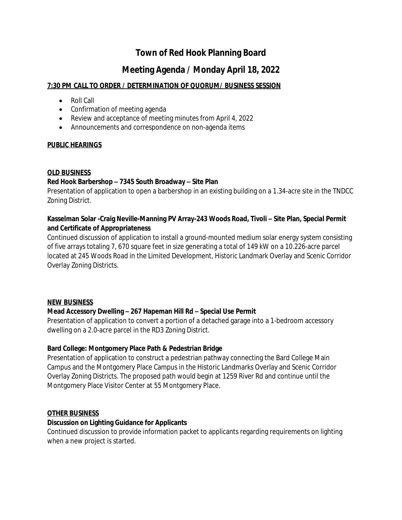# **Town of Red Hook Planning Board**

# **Meeting Agenda / Monday April 18, 2022**

### **7:30 PM CALL TO ORDER / DETERMINATION OF QUORUM/ BUSINESS SESSION**

- Roll Call
- Confirmation of meeting agenda
- Review and acceptance of meeting minutes from April 4, 2022
- Announcements and correspondence on non-agenda items

#### **PUBLIC HEARINGS**

#### **OLD BUSINESS**

### **Red Hook Barbershop – 7345 South Broadway – Site Plan**

Presentation of application to open a barbershop in an existing building on a 1.34-acre site in the TNDCC Zoning District.

#### Kasselman Solar -Craig Neville-Manning PV Array-243 Woods Road, Tivoli - Site Plan, Special Permit **and Certificate of Appropriateness**

Continued discussion of application to install a ground-mounted medium solar energy system consisting of five arrays totaling 7, 670 square feet in size generating a total of 149 kW on a 10.226-acre parcel located at 245 Woods Road in the Limited Development, Historic Landmark Overlay and Scenic Corridor Overlay Zoning Districts.

#### **NEW BUSINESS**

#### **Mead Accessory Dwelling – 267 Hapeman Hill Rd – Special Use Permit**

Presentation of application to convert a portion of a detached garage into a 1-bedroom accessory dwelling on a 2.0-acre parcel in the RD3 Zoning District.

#### **Bard College: Montgomery Place Path & Pedestrian Bridge**

Presentation of application to construct a pedestrian pathway connecting the Bard College Main Campus and the Montgomery Place Campus in the Historic Landmarks Overlay and Scenic Corridor Overlay Zoning Districts. The proposed path would begin at 1259 River Rd and continue until the Montgomery Place Visitor Center at 55 Montgomery Place.

#### **OTHER BUSINESS**

#### **Discussion on Lighting Guidance for Applicants**

Continued discussion to provide information packet to applicants regarding requirements on lighting when a new project is started.